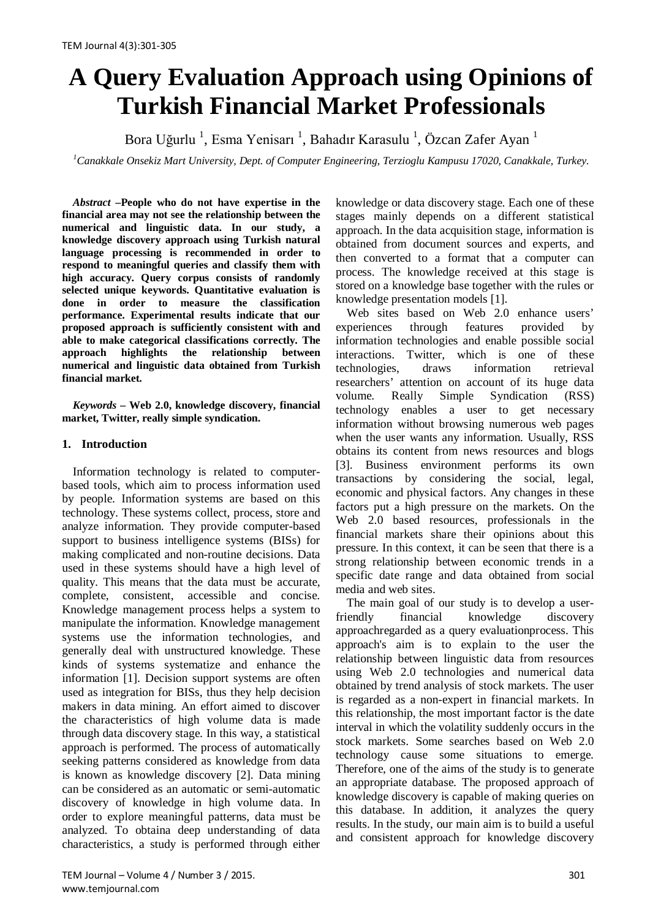# **A Query Evaluation Approach using Opinions of Turkish Financial Market Professionals**

Bora Uğurlu <sup>1</sup>, Esma Yenisarı <sup>1</sup>, Bahadır Karasulu <sup>1</sup>, Özcan Zafer Ayan <sup>1</sup>

*1 Canakkale Onsekiz Mart University, Dept. of Computer Engineering, Terzioglu Kampusu 17020, Canakkale, Turkey.*

*Abstract –***People who do not have expertise in the financial area may not see the relationship between the numerical and linguistic data. In our study, a knowledge discovery approach using Turkish natural language processing is recommended in order to respond to meaningful queries and classify them with high accuracy. Query corpus consists of randomly selected unique keywords. Quantitative evaluation is done in order to measure the classification performance. Experimental results indicate that our proposed approach is sufficiently consistent with and able to make categorical classifications correctly. The approach highlights the relationship between numerical and linguistic data obtained from Turkish financial market.**

*Keywords –* **Web 2.0, knowledge discovery, financial market, Twitter, really simple syndication.**

## **1. Introduction**

Information technology is related to computerbased tools, which aim to process information used by people. Information systems are based on this technology. These systems collect, process, store and analyze information. They provide computer-based support to business intelligence systems (BISs) for making complicated and non-routine decisions. Data used in these systems should have a high level of quality. This means that the data must be accurate, complete, consistent, accessible and concise. Knowledge management process helps a system to manipulate the information. Knowledge management systems use the information technologies, and generally deal with unstructured knowledge. These kinds of systems systematize and enhance the information [1]. Decision support systems are often used as integration for BISs, thus they help decision makers in data mining. An effort aimed to discover the characteristics of high volume data is made through data discovery stage. In this way, a statistical approach is performed. The process of automatically seeking patterns considered as knowledge from data is known as knowledge discovery [2]. Data mining can be considered as an automatic or semi-automatic discovery of knowledge in high volume data. In order to explore meaningful patterns, data must be analyzed. To obtaina deep understanding of data characteristics, a study is performed through either

knowledge or data discovery stage. Each one of these stages mainly depends on a different statistical approach. In the data acquisition stage, information is obtained from document sources and experts, and then converted to a format that a computer can process. The knowledge received at this stage is stored on a knowledge base together with the rules or knowledge presentation models [1].

Web sites based on Web 2.0 enhance users' experiences through features provided by information technologies and enable possible social interactions. Twitter, which is one of these technologies, draws information retrieval researchers' attention on account of its huge data volume. Really Simple Syndication (RSS) technology enables a user to get necessary information without browsing numerous web pages when the user wants any information. Usually, RSS obtains its content from news resources and blogs [3]. Business environment performs its own transactions by considering the social, legal, economic and physical factors. Any changes in these factors put a high pressure on the markets. On the Web 2.0 based resources, professionals in the financial markets share their opinions about this pressure. In this context, it can be seen that there is a strong relationship between economic trends in a specific date range and data obtained from social media and web sites.

The main goal of our study is to develop a userfriendly financial knowledge discovery approachregarded as a query evaluationprocess. This approach's aim is to explain to the user the relationship between linguistic data from resources using Web 2.0 technologies and numerical data obtained by trend analysis of stock markets. The user is regarded as a non-expert in financial markets. In this relationship, the most important factor is the date interval in which the volatility suddenly occurs in the stock markets. Some searches based on Web 2.0 technology cause some situations to emerge. Therefore, one of the aims of the study is to generate an appropriate database. The proposed approach of knowledge discovery is capable of making queries on this database. In addition, it analyzes the query results. In the study, our main aim is to build a useful and consistent approach for knowledge discovery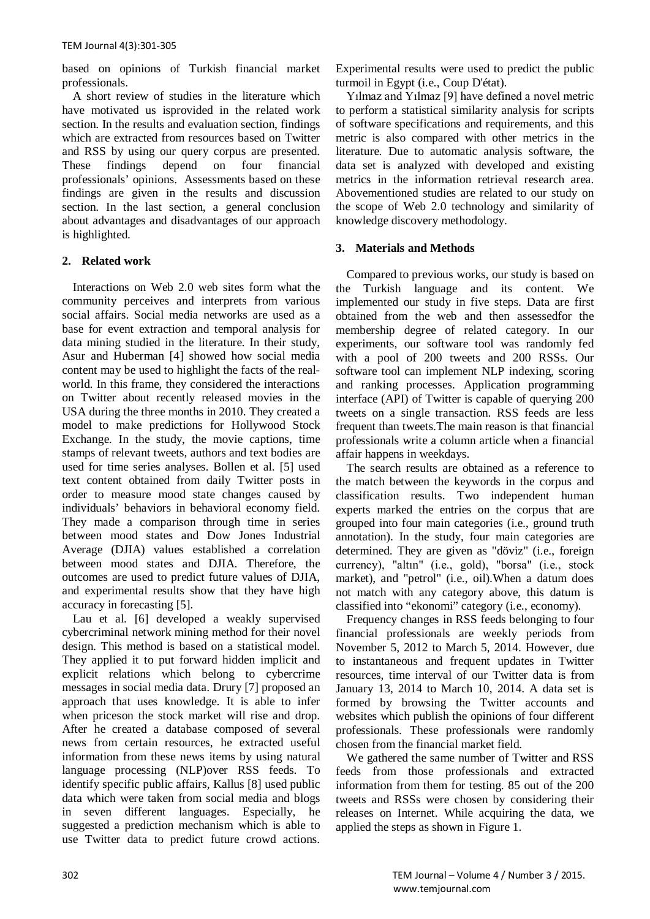based on opinions of Turkish financial market professionals.

A short review of studies in the literature which have motivated us isprovided in the related work section. In the results and evaluation section, findings which are extracted from resources based on Twitter and RSS by using our query corpus are presented. These findings depend on four financial professionals' opinions. Assessments based on these findings are given in the results and discussion section. In the last section, a general conclusion about advantages and disadvantages of our approach is highlighted.

# **2. Related work**

Interactions on Web 2.0 web sites form what the community perceives and interprets from various social affairs. Social media networks are used as a base for event extraction and temporal analysis for data mining studied in the literature. In their study, Asur and Huberman [4] showed how social media content may be used to highlight the facts of the realworld. In this frame, they considered the interactions on Twitter about recently released movies in the USA during the three months in 2010. They created a model to make predictions for Hollywood Stock Exchange. In the study, the movie captions, time stamps of relevant tweets, authors and text bodies are used for time series analyses. Bollen et al. [5] used text content obtained from daily Twitter posts in order to measure mood state changes caused by individuals' behaviors in behavioral economy field. They made a comparison through time in series between mood states and Dow Jones Industrial Average (DJIA) values established a correlation between mood states and DJIA. Therefore, the outcomes are used to predict future values of DJIA, and experimental results show that they have high accuracy in forecasting [5].

Lau et al. [6] developed a weakly supervised cybercriminal network mining method for their novel design. This method is based on a statistical model. They applied it to put forward hidden implicit and explicit relations which belong to cybercrime messages in social media data. Drury [7] proposed an approach that uses knowledge. It is able to infer when priceson the stock market will rise and drop. After he created a database composed of several news from certain resources, he extracted useful information from these news items by using natural language processing (NLP)over RSS feeds. To identify specific public affairs, Kallus [8] used public data which were taken from social media and blogs in seven different languages. Especially, he suggested a prediction mechanism which is able to use Twitter data to predict future crowd actions. Experimental results were used to predict the public turmoil in Egypt (i.e., Coup D'état).

Yılmaz and Yılmaz [9] have defined a novel metric to perform a statistical similarity analysis for scripts of software specifications and requirements, and this metric is also compared with other metrics in the literature. Due to automatic analysis software, the data set is analyzed with developed and existing metrics in the information retrieval research area. Abovementioned studies are related to our study on the scope of Web 2.0 technology and similarity of knowledge discovery methodology.

# **3. Materials and Methods**

Compared to previous works, our study is based on the Turkish language and its content. We implemented our study in five steps. Data are first obtained from the web and then assessedfor the membership degree of related category. In our experiments, our software tool was randomly fed with a pool of 200 tweets and 200 RSSs. Our software tool can implement NLP indexing, scoring and ranking processes. Application programming interface (API) of Twitter is capable of querying 200 tweets on a single transaction. RSS feeds are less frequent than tweets.The main reason is that financial professionals write a column article when a financial affair happens in weekdays.

The search results are obtained as a reference to the match between the keywords in the corpus and classification results. Two independent human experts marked the entries on the corpus that are grouped into four main categories (i.e., ground truth annotation). In the study, four main categories are determined. They are given as "döviz" (i.e., foreign currency), "altın" (i.e., gold), "borsa" (i.e., stock market), and "petrol" (i.e., oil).When a datum does not match with any category above, this datum is classified into "ekonomi" category (i.e., economy).

Frequency changes in RSS feeds belonging to four financial professionals are weekly periods from November 5, 2012 to March 5, 2014. However, due to instantaneous and frequent updates in Twitter resources, time interval of our Twitter data is from January 13, 2014 to March 10, 2014. A data set is formed by browsing the Twitter accounts and websites which publish the opinions of four different professionals. These professionals were randomly chosen from the financial market field.

We gathered the same number of Twitter and RSS feeds from those professionals and extracted information from them for testing. 85 out of the 200 tweets and RSSs were chosen by considering their releases on Internet. While acquiring the data, we applied the steps as shown in Figure 1.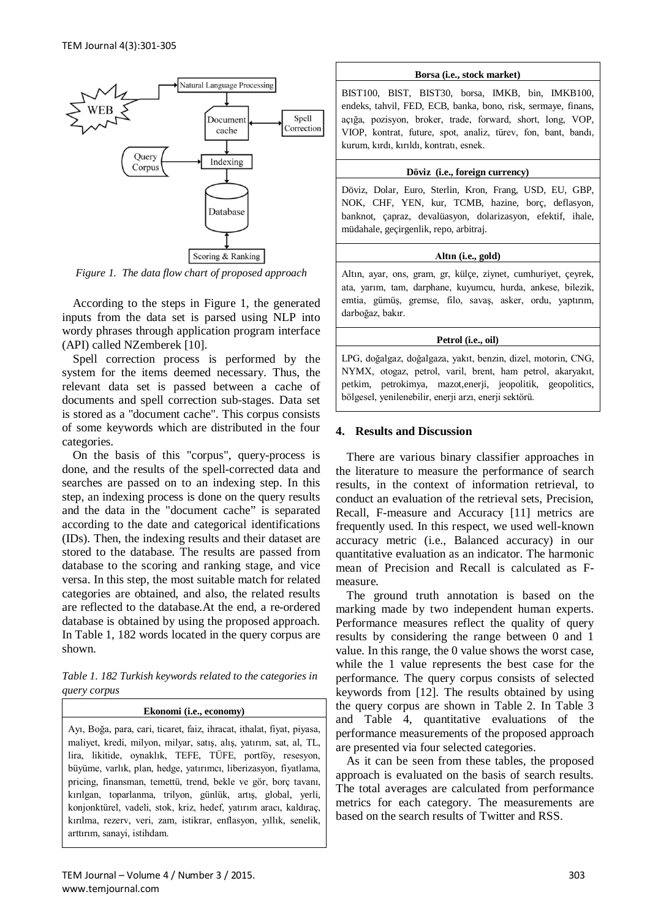

*Figure 1. The data flow chart of proposed approach*

According to the steps in Figure 1, the generated inputs from the data set is parsed using NLP into wordy phrases through application program interface (API) called NZemberek [10].

Spell correction process is performed by the system for the items deemed necessary. Thus, the relevant data set is passed between a cache of documents and spell correction sub-stages. Data set is stored as a "document cache". This corpus consists of some keywords which are distributed in the four categories.

On the basis of this "corpus", query-process is done, and the results of the spell-corrected data and searches are passed on to an indexing step. In this step, an indexing process is done on the query results and the data in the "document cache" is separated according to the date and categorical identifications (IDs). Then, the indexing results and their dataset are stored to the database. The results are passed from database to the scoring and ranking stage, and vice versa. In this step, the most suitable match for related categories are obtained, and also, the related results are reflected to the database.At the end, a re-ordered database is obtained by using the proposed approach. In Table 1, 182 words located in the query corpus are shown.

*Table 1. 182 Turkish keywords related to the categories in query corpus*

**Ekonomi (i.e., economy)** Ayı, Boğa, para, cari, ticaret, faiz, ihracat, ithalat, fiyat, piyasa, maliyet, kredi, milyon, milyar, satış, alış, yatırım, sat, al, TL, lira, likitide, oynaklık, TEFE, TÜFE, portföy, resesyon, büyüme, varlık, plan, hedge, yatırımcı, liberizasyon, fiyatlama, pricing, finansman, temettü, trend, bekle ve gör, borç tavanı, kırılgan, toparlanma, trilyon, günlük, artış, global, yerli, konjonktürel, vadeli, stok, kriz, hedef, yatırım aracı, kaldıraç, kırılma, rezerv, veri, zam, istikrar, enflasyon, yıllık, senelik, arttırım, sanayi, istihdam.

#### **Borsa (i.e., stock market)**

BIST100, BIST, BIST30, borsa, IMKB, bin, IMKB100, endeks, tahvil, FED, ECB, banka, bono, risk, sermaye, finans, açığa, pozisyon, broker, trade, forward, short, long, VOP, VIOP, kontrat, future, spot, analiz, türev, fon, bant, bandı, kurum, kırdı, kırıldı, kontratı, esnek.

#### **Döviz (i.e., foreign currency)**

Döviz, Dolar, Euro, Sterlin, Kron, Frang, USD, EU, GBP, NOK, CHF, YEN, kur, TCMB, hazine, borç, deflasyon, banknot, çapraz, devalüasyon, dolarizasyon, efektif, ihale, müdahale, geçirgenlik, repo, arbitraj.

## **Altın (i.e., gold)**

Altın, ayar, ons, gram, gr, külçe, ziynet, cumhuriyet, çeyrek, ata, yarım, tam, darphane, kuyumcu, hurda, ankese, bilezik, emtia, gümüş, gremse, filo, savaş, asker, ordu, yaptırım, darboğaz, bakır.

## **Petrol (i.e., oil)**

LPG, doğalgaz, doğalgaza, yakıt, benzin, dizel, motorin, CNG, NYMX, otogaz, petrol, varil, brent, ham petrol, akaryakıt, petkim, petrokimya, mazot,enerji, jeopolitik, geopolitics, bölgesel, yenilenebilir, enerji arzı, enerji sektörü.

# **4. Results and Discussion**

There are various binary classifier approaches in the literature to measure the performance of search results, in the context of information retrieval, to conduct an evaluation of the retrieval sets, Precision, Recall, F-measure and Accuracy [11] metrics are frequently used. In this respect, we used well-known accuracy metric (i.e., Balanced accuracy) in our quantitative evaluation as an indicator. The harmonic mean of Precision and Recall is calculated as Fmeasure.

The ground truth annotation is based on the marking made by two independent human experts. Performance measures reflect the quality of query results by considering the range between 0 and 1 value. In this range, the 0 value shows the worst case, while the 1 value represents the best case for the performance. The query corpus consists of selected keywords from [12]. The results obtained by using the query corpus are shown in Table 2. In Table 3 and Table 4, quantitative evaluations of the performance measurements of the proposed approach are presented via four selected categories.

As it can be seen from these tables, the proposed approach is evaluated on the basis of search results. The total averages are calculated from performance metrics for each category. The measurements are based on the search results of Twitter and RSS.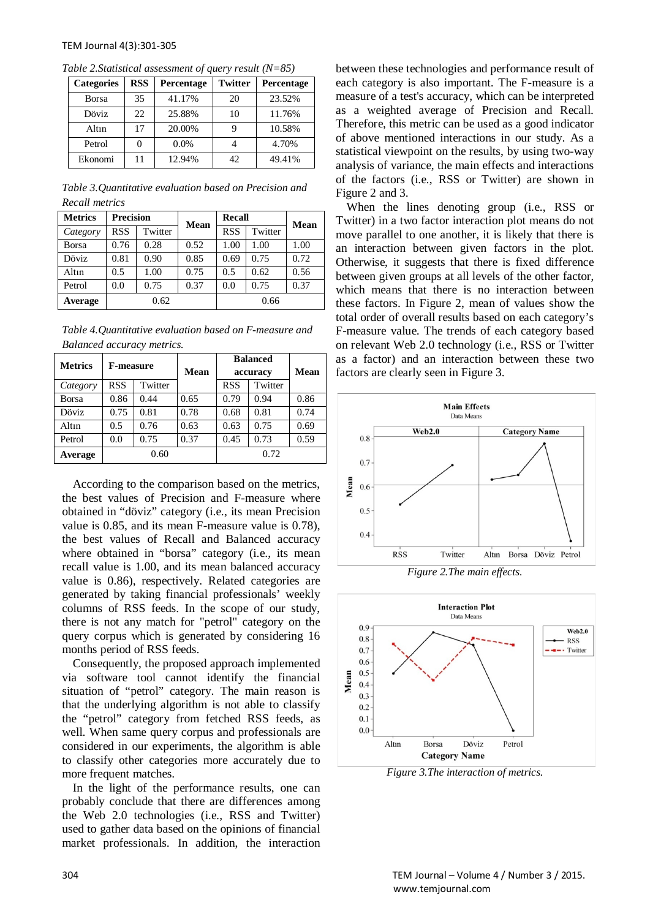| <b>Categories</b> | <b>RSS</b> | Percentage | <b>Twitter</b> | Percentage |
|-------------------|------------|------------|----------------|------------|
| <b>Borsa</b>      | 35         | 41.17%     | 20             | 23.52%     |
| Döviz             | 22.        | 25.88%     | 10             | 11.76%     |
| Altın             | 17         | 20.00%     |                | 10.58%     |
| Petrol            |            | $0.0\%$    |                | 4.70%      |
| Ekonomi           | 11         | 12.94%     | 42             | 49.41%     |

*Table 2.Statistical assessment of query result (N=85)*

*Table 3.Quantitative evaluation based on Precision and Recall metrics*

| <b>Metrics</b> | <b>Precision</b> |         | <b>Mean</b> | Recall     |         | Mean |
|----------------|------------------|---------|-------------|------------|---------|------|
| Category       | <b>RSS</b>       | Twitter |             | <b>RSS</b> | Twitter |      |
| <b>Borsa</b>   | 0.76             | 0.28    | 0.52        | 1.00       | 1.00    | 1.00 |
| Döviz          | 0.81             | 0.90    | 0.85        | 0.69       | 0.75    | 0.72 |
| Altın          | 0.5              | 1.00    | 0.75        | 0.5        | 0.62    | 0.56 |
| Petrol         | 0.0              | 0.75    | 0.37        | 0.0        | 0.75    | 0.37 |
| Average        | 0.62             |         |             | 0.66       |         |      |

*Table 4.Quantitative evaluation based on F-measure and Balanced accuracy metrics.*

| <b>Metrics</b> | <b>F-measure</b> |         | Mean | <b>Balanced</b> |         |             |
|----------------|------------------|---------|------|-----------------|---------|-------------|
|                |                  |         |      | accuracy        |         | <b>Mean</b> |
| Category       | <b>RSS</b>       | Twitter |      | <b>RSS</b>      | Twitter |             |
| <b>Borsa</b>   | 0.86             | 0.44    | 0.65 | 0.79            | 0.94    | 0.86        |
| <b>Döviz</b>   | 0.75             | 0.81    | 0.78 | 0.68            | 0.81    | 0.74        |
| Altın          | 0.5              | 0.76    | 0.63 | 0.63            | 0.75    | 0.69        |
| Petrol         | 0.0              | 0.75    | 0.37 | 0.45            | 0.73    | 0.59        |
| Average        | 0.60             |         |      |                 | 0.72    |             |

According to the comparison based on the metrics, the best values of Precision and F-measure where obtained in "döviz" category (i.e., its mean Precision value is 0.85, and its mean F-measure value is 0.78), the best values of Recall and Balanced accuracy where obtained in "borsa" category (i.e., its mean recall value is 1.00, and its mean balanced accuracy value is 0.86), respectively. Related categories are generated by taking financial professionals' weekly columns of RSS feeds. In the scope of our study, there is not any match for "petrol" category on the query corpus which is generated by considering 16 months period of RSS feeds.

Consequently, the proposed approach implemented via software tool cannot identify the financial situation of "petrol" category. The main reason is that the underlying algorithm is not able to classify the "petrol" category from fetched RSS feeds, as well. When same query corpus and professionals are considered in our experiments, the algorithm is able to classify other categories more accurately due to more frequent matches.

In the light of the performance results, one can probably conclude that there are differences among the Web 2.0 technologies (i.e., RSS and Twitter) used to gather data based on the opinions of financial market professionals. In addition, the interaction between these technologies and performance result of each category is also important. The F-measure is a measure of a test's accuracy, which can be interpreted as a weighted average of Precision and Recall. Therefore, this metric can be used as a good indicator of above mentioned interactions in our study. As a statistical viewpoint on the results, by using two-way analysis of variance, the main effects and interactions of the factors (i.e., RSS or Twitter) are shown in Figure 2 and 3.

When the lines denoting group (i.e., RSS or Twitter) in a two factor interaction plot means do not move parallel to one another, it is likely that there is an interaction between given factors in the plot. Otherwise, it suggests that there is fixed difference between given groups at all levels of the other factor, which means that there is no interaction between these factors. In Figure 2, mean of values show the total order of overall results based on each category's F-measure value. The trends of each category based on relevant Web 2.0 technology (i.e., RSS or Twitter as a factor) and an interaction between these two factors are clearly seen in Figure 3.





*Figure 3.The interaction of metrics.*

304 TEM Journal – Volume 4 / Number 3 / 2015. www.temjournal.com